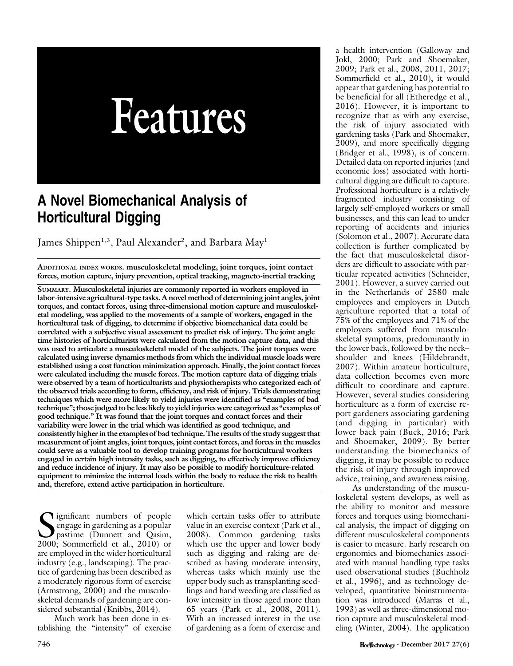# Features

# A Novel Biomechanical Analysis of Horticultural Digging

James Shippen<sup>1,3</sup>, Paul Alexander<sup>2</sup>, and Barbara May<sup>1</sup>

ADDITIONAL INDEX WORDS. musculoskeletal modeling, joint torques, joint contact forces, motion capture, injury prevention, optical tracking, magneto-inertial tracking

SUMMARY. Musculoskeletal injuries are commonly reported in workers employed in labor-intensive agricultural-type tasks. A novel method of determining joint angles, joint torques, and contact forces, using three-dimensional motion capture and musculoskeletal modeling, was applied to the movements of a sample of workers, engaged in the horticultural task of digging, to determine if objective biomechanical data could be correlated with a subjective visual assessment to predict risk of injury. The joint angle time histories of horticulturists were calculated from the motion capture data, and this was used to articulate a musculoskeletal model of the subjects. The joint torques were calculated using inverse dynamics methods from which the individual muscle loads were established using a cost function minimization approach. Finally, the joint contact forces were calculated including the muscle forces. The motion capture data of digging trials were observed by a team of horticulturists and physiotherapists who categorized each of the observed trials according to form, efficiency, and risk of injury. Trials demonstrating techniques which were more likely to yield injuries were identified as ''examples of bad technique''; those judged to be less likely to yield injuries were categorized as ''examples of good technique.'' It was found that the joint torques and contact forces and their variability were lower in the trial which was identified as good technique, and consistently higher in the examples of bad technique. The results of the study suggest that measurement of joint angles, joint torques, joint contact forces, and forces in the muscles could serve as a valuable tool to develop training programs for horticultural workers engaged in certain high intensity tasks, such as digging, to effectively improve efficiency and reduce incidence of injury. It may also be possible to modify horticulture-related equipment to minimize the internal loads within the body to reduce the risk to health and, therefore, extend active participation in horticulture.

Significant numbers of people<br>
engage in gardening as a popular<br>
pastime (Dunnett and Qasim,<br>
2000: Sommerfield et al., 2010) or engage in gardening as a popular pastime (Dunnett and Qasim, 2000; Sommerfield et al., 2010) or are employed in the wider horticultural industry (e.g., landscaping). The practice of gardening has been described as a moderately rigorous form of exercise (Armstrong, 2000) and the musculoskeletal demands of gardening are considered substantial (Knibbs, 2014).

Much work has been done in establishing the ''intensity'' of exercise which certain tasks offer to attribute value in an exercise context (Park et al., 2008). Common gardening tasks which use the upper and lower body such as digging and raking are described as having moderate intensity, whereas tasks which mainly use the upper body such as transplanting seedlings and hand weeding are classified as low intensity in those aged more than 65 years (Park et al., 2008, 2011). With an increased interest in the use of gardening as a form of exercise and

a health intervention (Galloway and Jokl, 2000; Park and Shoemaker, 2009; Park et al., 2008, 2011, 2017; Sommerfield et al., 2010), it would appear that gardening has potential to be beneficial for all (Etheredge et al., 2016). However, it is important to recognize that as with any exercise, the risk of injury associated with gardening tasks (Park and Shoemaker, 2009), and more specifically digging (Bridger et al., 1998), is of concern. Detailed data on reported injuries (and economic loss) associated with horticultural digging are difficult to capture. Professional horticulture is a relatively fragmented industry consisting of largely self-employed workers or small businesses, and this can lead to under reporting of accidents and injuries (Solomon et al., 2007). Accurate data collection is further complicated by the fact that musculoskeletal disorders are difficult to associate with particular repeated activities (Schneider, 2001). However, a survey carried out in the Netherlands of 2580 male employees and employers in Dutch agriculture reported that a total of 75% of the employees and 71% of the employers suffered from musculoskeletal symptoms, predominantly in the lower back, followed by the neck– shoulder and knees (Hildebrandt, 2007). Within amateur horticulture, data collection becomes even more difficult to coordinate and capture. However, several studies considering horticulture as a form of exercise report gardeners associating gardening (and digging in particular) with lower back pain (Buck, 2016; Park and Shoemaker, 2009). By better understanding the biomechanics of digging, it may be possible to reduce the risk of injury through improved advice, training, and awareness raising.

As understanding of the musculoskeletal system develops, as well as the ability to monitor and measure forces and torques using biomechanical analysis, the impact of digging on different musculoskeletal components is easier to measure. Early research on ergonomics and biomechanics associated with manual handling type tasks used observational studies (Buchholz et al., 1996), and as technology developed, quantitative bioinstrumentation was introduced (Marras et al., 1993) as well as three-dimensional motion capture and musculoskeletal modeling (Winter, 2004). The application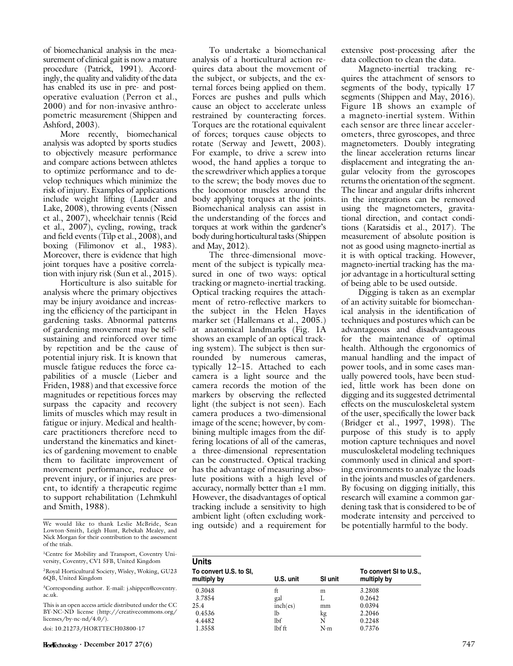of biomechanical analysis in the measurement of clinical gait is now a mature procedure (Patrick, 1991). Accordingly, the quality and validity of the data has enabled its use in pre- and postoperative evaluation (Perron et al., 2000) and for non-invasive anthropometric measurement (Shippen and Ashford, 2003).

More recently, biomechanical analysis was adopted by sports studies to objectively measure performance and compare actions between athletes to optimize performance and to develop techniques which minimize the risk of injury. Examples of applications include weight lifting (Lauder and Lake, 2008), throwing events (Nissen et al., 2007), wheelchair tennis (Reid et al., 2007), cycling, rowing, track and field events (Tilp et al., 2008), and boxing (Filimonov et al., 1983). Moreover, there is evidence that high joint torques have a positive correlation with injury risk (Sun et al., 2015).

Horticulture is also suitable for analysis where the primary objectives may be injury avoidance and increasing the efficiency of the participant in gardening tasks. Abnormal patterns of gardening movement may be selfsustaining and reinforced over time by repetition and be the cause of potential injury risk. It is known that muscle fatigue reduces the force capabilities of a muscle (Lieber and Friden, 1988) and that excessive force magnitudes or repetitious forces may surpass the capacity and recovery limits of muscles which may result in fatigue or injury. Medical and healthcare practitioners therefore need to understand the kinematics and kinetics of gardening movement to enable them to facilitate improvement of movement performance, reduce or prevent injury, or if injuries are present, to identify a therapeutic regime to support rehabilitation (Lehmkuhl and Smith, 1988).

We would like to thank Leslie McBride, Sean Lowton-Smith, Leigh Hunt, Rebekah Mealey, and Nick Morgan for their contribution to the assessment of the trials.

<sup>1</sup>Centre for Mobility and Transport, Coventry University, Coventry, CV1 5FB, United Kingdom

2 Royal Horticultural Society, Wisley, Woking, GU23 6QB, United Kingdom

3 Corresponding author. E-mail: j.shippen@coventry. ac.uk.

This is an open access article distributed under the CC BY-NC-ND license (http://creativecommons.org/ licenses/by-nc-nd/4.0/).

doi: 10.21273/HORTTECH03800-17

To undertake a biomechanical analysis of a horticultural action requires data about the movement of the subject, or subjects, and the external forces being applied on them. Forces are pushes and pulls which cause an object to accelerate unless restrained by counteracting forces. Torques are the rotational equivalent of forces; torques cause objects to rotate (Serway and Jewett, 2003). For example, to drive a screw into wood, the hand applies a torque to the screwdriver which applies a torque to the screw; the body moves due to the locomotor muscles around the body applying torques at the joints. Biomechanical analysis can assist in the understanding of the forces and torques at work within the gardener's body during horticultural tasks (Shippen and May, 2012).

The three-dimensional movement of the subject is typically measured in one of two ways: optical tracking or magneto-inertial tracking. Optical tracking requires the attachment of retro-reflective markers to the subject in the Helen Hayes marker set (Hallemans et al., 2005.) at anatomical landmarks (Fig. 1A shows an example of an optical tracking system). The subject is then surrounded by numerous cameras, typically 12–15. Attached to each camera is a light source and the camera records the motion of the markers by observing the reflected light (the subject is not seen). Each camera produces a two-dimensional image of the scene; however, by combining multiple images from the differing locations of all of the cameras, a three-dimensional representation can be constructed. Optical tracking has the advantage of measuring absolute positions with a high level of accuracy, normally better than  $\pm 1$  mm. However, the disadvantages of optical tracking include a sensitivity to high ambient light (often excluding working outside) and a requirement for

extensive post-processing after the data collection to clean the data.

Magneto-inertial tracking requires the attachment of sensors to segments of the body, typically 17 segments (Shippen and May, 2016). Figure 1B shows an example of a magneto-inertial system. Within each sensor are three linear accelerometers, three gyroscopes, and three magnetometers. Doubly integrating the linear acceleration returns linear displacement and integrating the angular velocity from the gyroscopes returns the orientation of the segment. The linear and angular drifts inherent in the integrations can be removed using the magnetometers, gravitational direction, and contact conditions (Karatsidis et al., 2017). The measurement of absolute position is not as good using magneto-inertial as it is with optical tracking. However, magneto-inertial tracking has the major advantage in a horticultural setting of being able to be used outside.

Digging is taken as an exemplar of an activity suitable for biomechanical analysis in the identification of techniques and postures which can be advantageous and disadvantageous for the maintenance of optimal health. Although the ergonomics of manual handling and the impact of power tools, and in some cases manually powered tools, have been studied, little work has been done on digging and its suggested detrimental effects on the musculoskeletal system of the user, specifically the lower back (Bridger et al., 1997, 1998). The purpose of this study is to apply motion capture techniques and novel musculoskeletal modeling techniques commonly used in clinical and sporting environments to analyze the loads in the joints and muscles of gardeners. By focusing on digging initially, this research will examine a common gardening task that is considered to be of moderate intensity and perceived to be potentially harmful to the body.

| Units                                 |           |             |                                       |
|---------------------------------------|-----------|-------------|---------------------------------------|
| To convert U.S. to SI,<br>multiply by | U.S. unit | SI unit     | To convert SI to U.S.,<br>multiply by |
| 0.3048                                | ft        | m           | 3.2808                                |
| 3.7854                                | gal       | L           | 0.2642                                |
| 25.4                                  | inch(es)  | mm          | 0.0394                                |
| 0.4536                                | lb        | kg          | 2.2046                                |
| 4.4482                                | lbf       | N           | 0.2248                                |
| 1.3558                                | lbf ft    | $N \cdot m$ | 0.7376                                |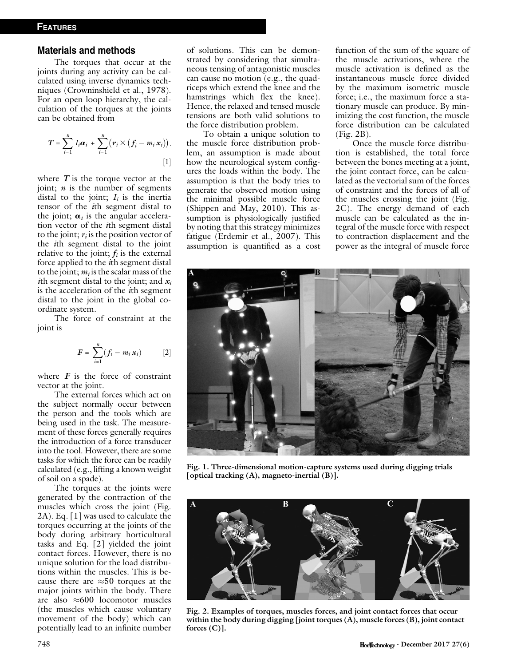#### Materials and methods

The torques that occur at the joints during any activity can be calculated using inverse dynamics techniques (Crowninshield et al., 1978). For an open loop hierarchy, the calculation of the torques at the joints can be obtained from

$$
T = \sum_{i=1}^{n} I_i \alpha_i + \sum_{i=1}^{n} (r_i \times (f_i - m_i \, \alpha_i)).
$$
 [1]

where  $T$  is the torque vector at the joint;  $n$  is the number of segments distal to the joint;  $I_i$  is the inertia tensor of the ith segment distal to the joint;  $\alpha_i$  is the angular acceleration vector of the *i*th segment distal to the joint;  $r_i$  is the position vector of the ith segment distal to the joint relative to the joint;  $f_i$  is the external force applied to the *i*th segment distal to the joint;  $m_i$  is the scalar mass of the *i*th segment distal to the joint; and  $x_i$ is the acceleration of the *i*th segment distal to the joint in the global coordinate system.

The force of constraint at the joint is

$$
F = \sum_{i=1}^{n} (f_i - m_i x_i) \qquad [2]
$$

where  $F$  is the force of constraint vector at the joint.

The external forces which act on the subject normally occur between the person and the tools which are being used in the task. The measurement of these forces generally requires the introduction of a force transducer into the tool. However, there are some tasks for which the force can be readily calculated (e.g., lifting a known weight of soil on a spade).

The torques at the joints were generated by the contraction of the muscles which cross the joint (Fig. 2A). Eq. [1] was used to calculate the torques occurring at the joints of the body during arbitrary horticultural tasks and Eq. [2] yielded the joint contact forces. However, there is no unique solution for the load distributions within the muscles. This is because there are  $\approx 50$  torques at the major joints within the body. There are also  $\approx 600$  locomotor muscles (the muscles which cause voluntary movement of the body) which can potentially lead to an infinite number of solutions. This can be demonstrated by considering that simultaneous tensing of antagonistic muscles can cause no motion (e.g., the quadriceps which extend the knee and the hamstrings which flex the knee). Hence, the relaxed and tensed muscle tensions are both valid solutions to the force distribution problem.

To obtain a unique solution to the muscle force distribution problem, an assumption is made about how the neurological system configures the loads within the body. The assumption is that the body tries to generate the observed motion using the minimal possible muscle force (Shippen and May, 2010). This assumption is physiologically justified by noting that this strategy minimizes fatigue (Erdemir et al., 2007). This assumption is quantified as a cost

function of the sum of the square of the muscle activations, where the muscle activation is defined as the instantaneous muscle force divided by the maximum isometric muscle force; i.e., the maximum force a stationary muscle can produce. By minimizing the cost function, the muscle force distribution can be calculated (Fig. 2B).

Once the muscle force distribution is established, the total force between the bones meeting at a joint, the joint contact force, can be calculated as the vectorial sum of the forces of constraint and the forces of all of the muscles crossing the joint (Fig. 2C). The energy demand of each muscle can be calculated as the integral of the muscle force with respect to contraction displacement and the power as the integral of muscle force



Fig. 1. Three-dimensional motion-capture systems used during digging trials [optical tracking (A), magneto-inertial (B)].



Fig. 2. Examples of torques, muscles forces, and joint contact forces that occur within the body during digging [joint torques  $(A)$ , muscle forces  $(B)$ , joint contact forces  $(C)$ ].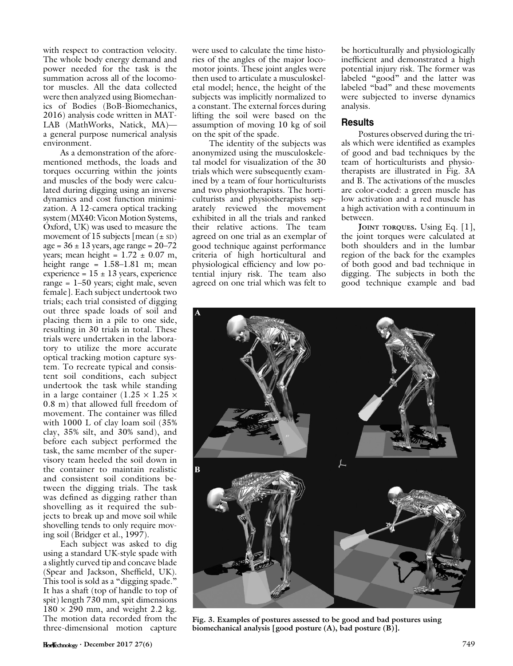with respect to contraction velocity. The whole body energy demand and power needed for the task is the summation across all of the locomotor muscles. All the data collected were then analyzed using Biomechanics of Bodies (BoB-Biomechanics, 2016) analysis code written in MAT-LAB (MathWorks, Natick, MA) a general purpose numerical analysis environment.

As a demonstration of the aforementioned methods, the loads and torques occurring within the joints and muscles of the body were calculated during digging using an inverse dynamics and cost function minimization. A 12-camera optical tracking system (MX40: Vicon Motion Systems, Oxford, UK) was used to measure the movement of 15 subjects [mean  $(\pm$  sD)  $age = 36 \pm 13$  years, age range =  $20 - 72$ years; mean height =  $1.72 \pm 0.07$  m, height range = 1.58-1.81 m; mean experience =  $15 \pm 13$  years, experience range = 1–50 years; eight male, seven female]. Each subject undertook two trials; each trial consisted of digging out three spade loads of soil and placing them in a pile to one side, resulting in 30 trials in total. These trials were undertaken in the laboratory to utilize the more accurate optical tracking motion capture system. To recreate typical and consistent soil conditions, each subject undertook the task while standing in a large container  $(1.25 \times 1.25 \times$ 0.8 m) that allowed full freedom of movement. The container was filled with 1000 L of clay loam soil (35% clay, 35% silt, and 30% sand), and before each subject performed the task, the same member of the supervisory team heeled the soil down in the container to maintain realistic and consistent soil conditions between the digging trials. The task was defined as digging rather than shovelling as it required the subjects to break up and move soil while shovelling tends to only require moving soil (Bridger et al., 1997).

Each subject was asked to dig using a standard UK-style spade with a slightly curved tip and concave blade (Spear and Jackson, Sheffield, UK). This tool is sold as a "digging spade." It has a shaft (top of handle to top of spit) length 730 mm, spit dimensions  $180 \times 290$  mm, and weight 2.2 kg. The motion data recorded from the three-dimensional motion capture were used to calculate the time histories of the angles of the major locomotor joints. These joint angles were then used to articulate a musculoskeletal model; hence, the height of the subjects was implicitly normalized to a constant. The external forces during lifting the soil were based on the assumption of moving 10 kg of soil on the spit of the spade.

The identity of the subjects was anonymized using the musculoskeletal model for visualization of the 30 trials which were subsequently examined by a team of four horticulturists and two physiotherapists. The horticulturists and physiotherapists separately reviewed the movement exhibited in all the trials and ranked their relative actions. The team agreed on one trial as an exemplar of good technique against performance criteria of high horticultural and physiological efficiency and low potential injury risk. The team also agreed on one trial which was felt to

be horticulturally and physiologically inefficient and demonstrated a high potential injury risk. The former was labeled "good" and the latter was labeled "bad" and these movements were subjected to inverse dynamics analysis.

### Results

Postures observed during the trials which were identified as examples of good and bad techniques by the team of horticulturists and physiotherapists are illustrated in Fig. 3A and B. The activations of the muscles are color-coded: a green muscle has low activation and a red muscle has a high activation with a continuum in between.

JOINT TORQUES. Using Eq. [1], the joint torques were calculated at both shoulders and in the lumbar region of the back for the examples of both good and bad technique in digging. The subjects in both the good technique example and bad



Fig. 3. Examples of postures assessed to be good and bad postures using biomechanical analysis [good posture (A), bad posture (B)].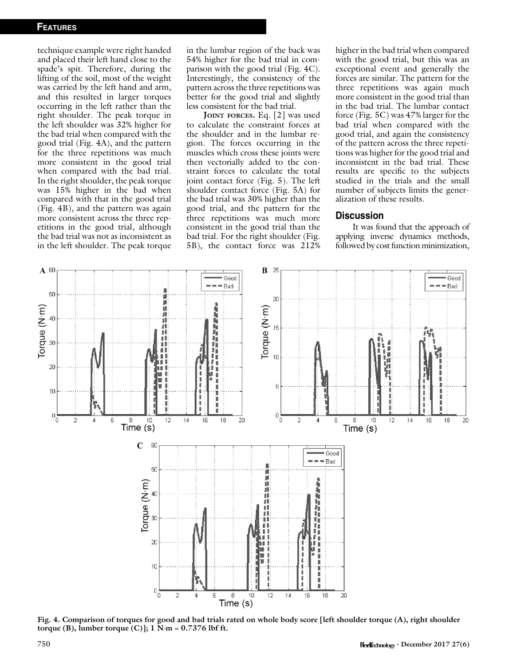technique example were right handed and placed their left hand close to the spade's spit. Therefore, during the lifting of the soil, most of the weight was carried by the left hand and arm, and this resulted in larger torques occurring in the left rather than the right shoulder. The peak torque in the left shoulder was 32% higher for the bad trial when compared with the good trial (Fig. 4A), and the pattern for the three repetitions was much more consistent in the good trial when compared with the bad trial. In the right shoulder, the peak torque was 15% higher in the bad when compared with that in the good trial (Fig. 4B), and the pattern was again more consistent across the three repetitions in the good trial, although the bad trial was not as inconsistent as in the left shoulder. The peak torque

in the lumbar region of the back was 54% higher for the bad trial in comparison with the good trial (Fig. 4C). Interestingly, the consistency of the pattern across the three repetitions was better for the good trial and slightly less consistent for the bad trial.

JOINT FORCES. Eq. [2] was used to calculate the constraint forces at the shoulder and in the lumbar region. The forces occurring in the muscles which cross these joints were then vectorially added to the constraint forces to calculate the total joint contact force (Fig. 5). The left shoulder contact force (Fig. 5A) for the bad trial was 30% higher than the good trial, and the pattern for the three repetitions was much more consistent in the good trial than the bad trial. For the right shoulder (Fig. 5B), the contact force was 212%

higher in the bad trial when compared with the good trial, but this was an exceptional event and generally the forces are similar. The pattern for the three repetitions was again much more consistent in the good trial than in the bad trial. The lumbar contact force (Fig. 5C) was 47% larger for the bad trial when compared with the good trial, and again the consistency of the pattern across the three repetitions was higher for the good trial and inconsistent in the bad trial. These results are specific to the subjects studied in the trials and the small number of subjects limits the generalization of these results.

#### **Discussion**

It was found that the approach of applying inverse dynamics methods, followed by cost function minimization,



Fig. 4. Comparison of torques for good and bad trials rated on whole body score [left shoulder torque (A), right shoulder torque (B), lumber torque (C)];  $1 \text{ N}\cdot\text{m} = 0.7376$  lbf ft.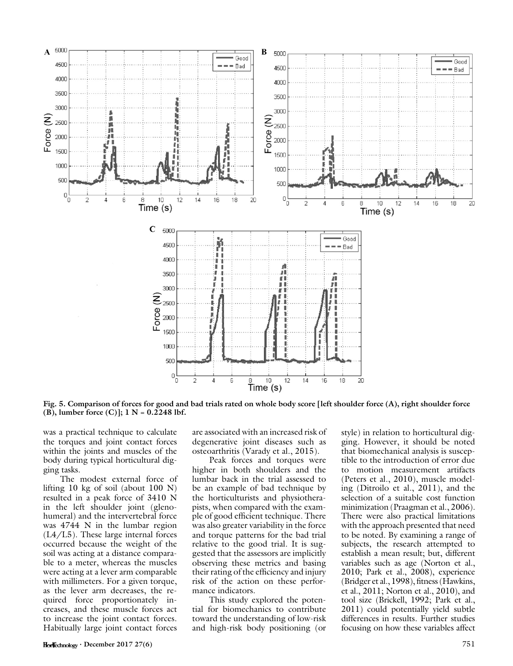

Fig. 5. Comparison of forces for good and bad trials rated on whole body score [left shoulder force (A), right shoulder force (B), lumber force  $(C)$ ]; 1 N = 0.2248 lbf.

was a practical technique to calculate the torques and joint contact forces within the joints and muscles of the body during typical horticultural digging tasks.

The modest external force of lifting 10 kg of soil (about 100 N) resulted in a peak force of 3410 N in the left shoulder joint (glenohumeral) and the intervertebral force was 4744 N in the lumbar region (L4/L5). These large internal forces occurred because the weight of the soil was acting at a distance comparable to a meter, whereas the muscles were acting at a lever arm comparable with millimeters. For a given torque, as the lever arm decreases, the required force proportionately increases, and these muscle forces act to increase the joint contact forces. Habitually large joint contact forces

are associated with an increased risk of degenerative joint diseases such as osteoarthritis (Varady et al., 2015).

Peak forces and torques were higher in both shoulders and the lumbar back in the trial assessed to be an example of bad technique by the horticulturists and physiotherapists, when compared with the example of good efficient technique. There was also greater variability in the force and torque patterns for the bad trial relative to the good trial. It is suggested that the assessors are implicitly observing these metrics and basing their rating of the efficiency and injury risk of the action on these performance indicators.

This study explored the potential for biomechanics to contribute toward the understanding of low-risk and high-risk body positioning (or

style) in relation to horticultural digging. However, it should be noted that biomechanical analysis is susceptible to the introduction of error due to motion measurement artifacts (Peters et al., 2010), muscle modeling (Ditroilo et al., 2011), and the selection of a suitable cost function minimization (Praagman et al., 2006). There were also practical limitations with the approach presented that need to be noted. By examining a range of subjects, the research attempted to establish a mean result; but, different variables such as age (Norton et al., 2010; Park et al., 2008), experience (Bridger et al., 1998), fitness (Hawkins, et al., 2011; Norton et al., 2010), and tool size (Brickell, 1992; Park et al., 2011) could potentially yield subtle differences in results. Further studies focusing on how these variables affect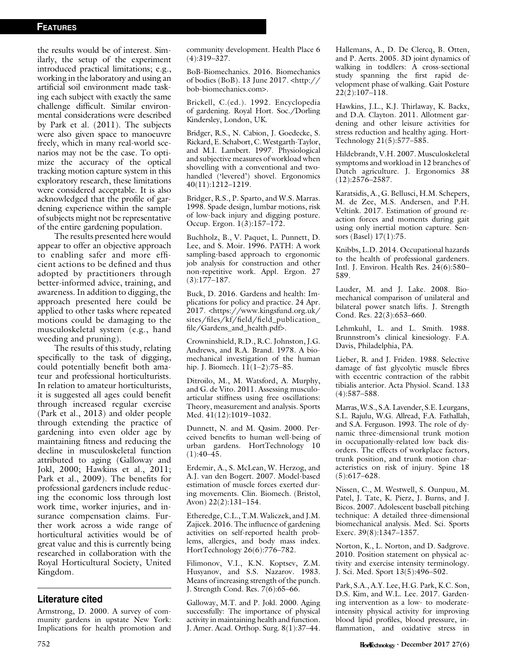the results would be of interest. Similarly, the setup of the experiment introduced practical limitations; e.g., working in the laboratory and using an artificial soil environment made tasking each subject with exactly the same challenge difficult. Similar environmental considerations were described by Park et al. (2011). The subjects were also given space to manoeuvre freely, which in many real-world scenarios may not be the case. To optimize the accuracy of the optical tracking motion capture system in this exploratory research, these limitations were considered acceptable. It is also acknowledged that the profile of gardening experience within the sample of subjects might not be representative of the entire gardening population.

The results presented here would appear to offer an objective approach to enabling safer and more efficient actions to be defined and thus adopted by practitioners through better-informed advice, training, and awareness. In addition to digging, the approach presented here could be applied to other tasks where repeated motions could be damaging to the musculoskeletal system (e.g., hand weeding and pruning).

The results of this study, relating specifically to the task of digging, could potentially benefit both amateur and professional horticulturists. In relation to amateur horticulturists, it is suggested all ages could benefit through increased regular exercise (Park et al., 2013) and older people through extending the practice of gardening into even older age by maintaining fitness and reducing the decline in musculoskeletal function attributed to aging (Galloway and Jokl, 2000; Hawkins et al., 2011; Park et al., 2009). The benefits for professional gardeners include reducing the economic loss through lost work time, worker injuries, and insurance compensation claims. Further work across a wide range of horticultural activities would be of great value and this is currently being researched in collaboration with the Royal Horticultural Society, United Kingdom.

## Literature cited

Armstrong, D. 2000. A survey of community gardens in upstate New York: Implications for health promotion and community development. Health Place 6 (4):319–327.

BoB-Biomechanics. 2016. Biomechanics of bodies (BoB). 13 June 2017. <http:// bob-biomechanics.com>.

Brickell, C.(ed.). 1992. Encyclopedia of gardening. Royal Hort. Soc./Dorling Kindersley, London, UK.

Bridger, R.S., N. Cabion, J. Goedecke, S. Rickard, E. Schabort, C. Westgarth-Taylor, and M.I. Lambert. 1997. Physiological and subjective measures of workload when shovelling with a conventional and twohandled ('levered') shovel. Ergonomics 40(11):1212–1219.

Bridger, R.S., P. Sparto, and W.S. Marras. 1998. Spade design, lumbar motions, risk of low-back injury and digging posture. Occup. Ergon. 1(3):157–172.

Buchholz, B., V. Paquet, L. Punnett, D. Lee, and S. Moir. 1996. PATH: A work sampling-based approach to ergonomic job analysis for construction and other non-repetitive work. Appl. Ergon. 27 (3):177–187.

Buck, D. 2016. Gardens and health: Implications for policy and practice. 24 Apr. 2017. <https://www.kingsfund.org.uk/ sites/files/kf/field/field\_publication\_ file/Gardens\_and\_health.pdf>.

Crowninshield, R.D., R.C. Johnston, J.G. Andrews, and R.A. Brand. 1978. A biomechanical investigation of the human hip. J. Biomech. 11(1–2):75–85.

Ditroilo, M., M. Watsford, A. Murphy, and G. de Vito. 2011. Assessing musculoarticular stiffness using free oscillations: Theory, measurement and analysis. Sports Med. 41(12):1019–1032.

Dunnett, N. and M. Qasim. 2000. Perceived benefits to human well-being of urban gardens. HortTechnology 10  $(1):40-45.$ 

Erdemir, A., S. McLean, W. Herzog, and A.J. van den Bogert. 2007. Model-based estimation of muscle forces exerted during movements. Clin. Biomech. (Bristol, Avon) 22(2):131–154.

Etheredge, C.L., T.M. Waliczek, and J.M. Zajicek. 2016. The influence of gardening activities on self-reported health problems, allergies, and body mass index. HortTechnology 26(6):776–782.

Filimonov, V.I., K.N. Koptsev, Z.M. Husyanov, and S.S. Nazarov. 1983. Means of increasing strength of the punch. J. Strength Cond. Res. 7(6):65–66.

Galloway, M.T. and P. Jokl. 2000. Aging successfully: The importance of physical activity in maintaining health and function. J. Amer. Acad. Orthop. Surg. 8(1):37–44. Hallemans, A., D. De Clercq, B. Otten, and P. Aerts. 2005. 3D joint dynamics of walking in toddlers: A cross-sectional study spanning the first rapid development phase of walking. Gait Posture 22(2):107–118.

Hawkins, J.L., K.J. Thirlaway, K. Backx, and D.A. Clayton. 2011. Allotment gardening and other leisure activities for stress reduction and healthy aging. Hort-Technology 21(5):577–585.

Hildebrandt, V.H. 2007. Musculoskeletal symptoms and workload in 12 branches of Dutch agriculture. J. Ergonomics 38 (12):2576–2587.

Karatsidis, A., G. Bellusci, H.M. Schepers, M. de Zee, M.S. Andersen, and P.H. Veltink. 2017. Estimation of ground reaction forces and moments during gait using only inertial motion capture. Sensors (Basel) 17(1):75.

Knibbs, L.D. 2014. Occupational hazards to the health of professional gardeners. Intl. J. Environ. Health Res. 24(6):580– 589.

Lauder, M. and J. Lake. 2008. Biomechanical comparison of unilateral and bilateral power snatch lifts. J. Strength Cond. Res. 22(3):653–660.

Lehmkuhl, L. and L. Smith. 1988. Brunnstrom's clinical kinesiology. F.A. Davis, Philadelphia, PA.

Lieber, R. and J. Friden. 1988. Selective damage of fast glycolytic muscle fibres with eccentric contraction of the rabbit tibialis anterior. Acta Physiol. Scand. 133 (4):587–588.

Marras, W.S., S.A. Lavender, S.E. Leurgans, S.L. Rajulu, W.G. Allread, F.A. Fathallah, and S.A. Ferguson. 1993. The role of dynamic three-dimensional trunk motion in occupationally-related low back disorders. The effects of workplace factors, trunk position, and trunk motion characteristics on risk of injury. Spine 18 (5):617–628.

Nissen, C., M. Westwell, S. Ounpuu, M. Patel, J. Tate, K. Pierz, J. Burns, and J. Bicos. 2007. Adolescent baseball pitching technique: A detailed three-dimensional biomechanical analysis. Med. Sci. Sports Exerc. 39(8):1347–1357.

Norton, K., L. Norton, and D. Sadgrove. 2010. Position statement on physical activity and exercise intensity terminology. J. Sci. Med. Sport 13(5):496–502.

Park, S.A., A.Y. Lee, H.G. Park, K.C. Son, D.S. Kim, and W.L. Lee. 2017. Gardening intervention as a low- to moderateintensity physical activity for improving blood lipid profiles, blood pressure, inflammation, and oxidative stress in